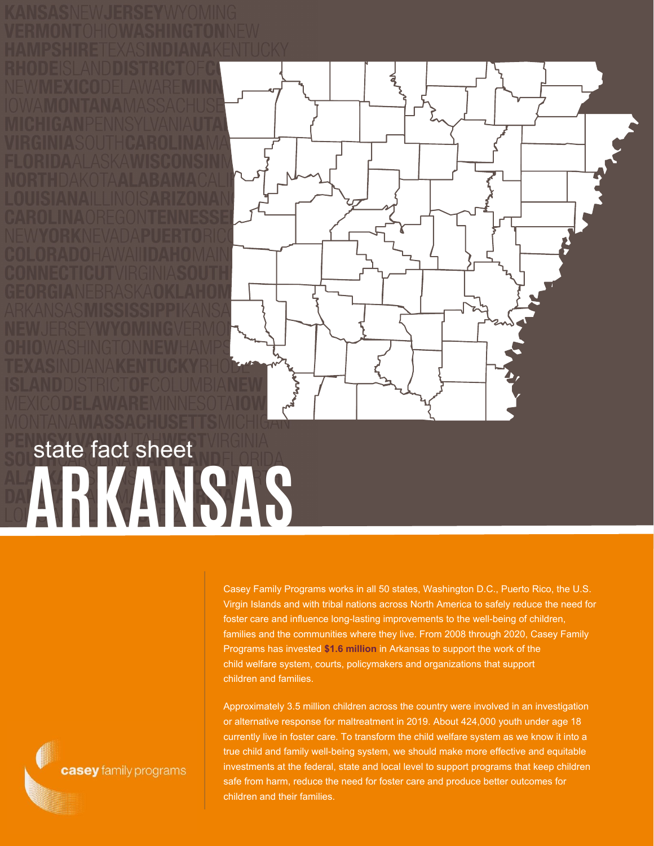## **ARKANSAS** state fact sheet

Casey Family Programs works in all 50 states, Washington D.C., Puerto Rico, the U.S. Virgin Islands and with tribal nations across North America to safely reduce the need for foster care and influence long-lasting improvements to the well-being of children, families and the communities where they live. From 2008 through 2020, Casey Family Programs has invested **\$1.6 million** in Arkansas to support the work of the child welfare system, courts, policymakers and organizations that support children and families.

Approximately 3.5 million children across the country were involved in an investigation or alternative response for maltreatment in 2019. About 424,000 youth under age 18 currently live in foster care. To transform the child welfare system as we know it into a true child and family well-being system, we should make more effective and equitable investments at the federal, state and local level to support programs that keep children safe from harm, reduce the need for foster care and produce better outcomes for children and their families.

casey family programs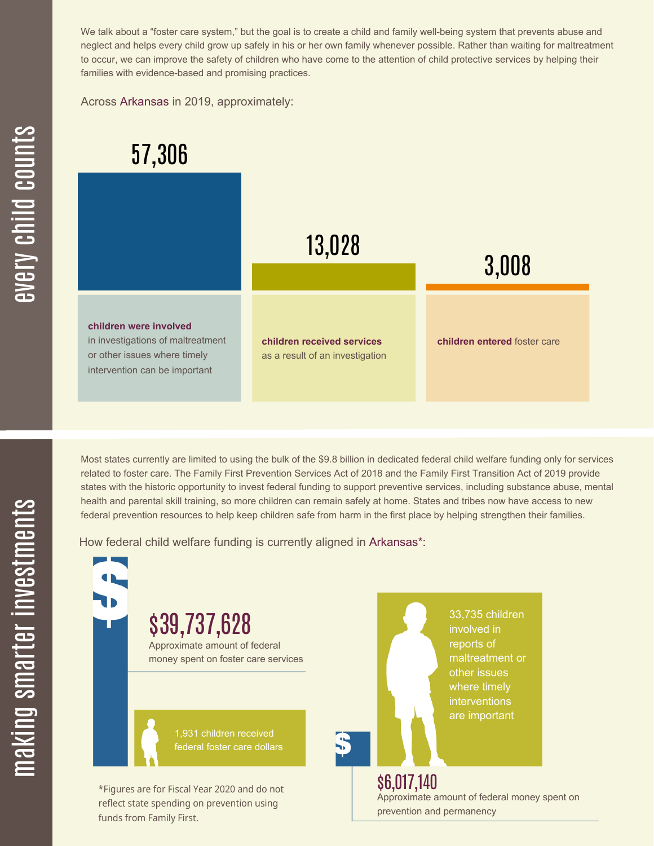We talk about a "foster care system," but the goal is to create a child and family well-being system that prevents abuse and neglect and helps every child grow up safely in his or her own family whenever possible. Rather than waiting for maltreatment to occur, we can improve the safety of children who have come to the attention of child protective services by helping their families with evidence-based and promising practices.

Across Arkansas in 2019, approximately:



Most states currently are limited to using the bulk of the \$9.8 billion in dedicated federal child welfare funding only for services related to foster care. The Family First Prevention Services Act of 2018 and the Family First Transition Act of 2019 provide states with the historic opportunity to invest federal funding to support preventive services, including substance abuse, mental health and parental skill training, so more children can remain safely at home. States and tribes now have access to new federal prevention resources to help keep children safe from harm in the first place by helping strengthen their families.

How federal child welfare funding is currently aligned in Arkansas\*:

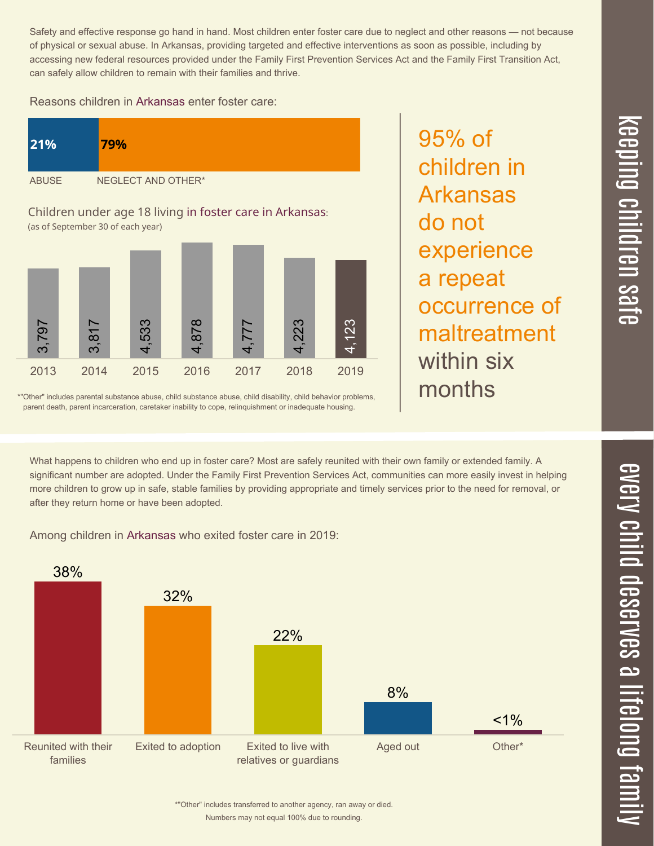Safety and effective response go hand in hand. Most children enter foster care due to neglect and other reasons — not because of physical or sexual abuse. In Arkansas, providing targeted and effective interventions as soon as possible, including by accessing new federal resources provided under the Family First Prevention Services Act and the Family First Transition Act, can safely allow children to remain with their families and thrive.

## Reasons children in Arkansas enter foster care:



\*"Other" includes parental substance abuse, child substance abuse, child disability, child behavior problems, parent death, parent incarceration, caretaker inability to cope, relinquishment or inadequate housing.

maltreatment within six months

95% of

do not

children in

Arkansas

experience

occurrence of

a repeat

What happens to children who end up in foster care? Most are safely reunited with their own family or extended family. A significant number are adopted. Under the Family First Prevention Services Act, communities can more easily invest in helping more children to grow up in safe, stable families by providing appropriate and timely services prior to the need for removal, or after they return home or have been adopted.

Among children in Arkansas who exited foster care in 2019:



Numbers may not equal 100% due to rounding. \*"Other" includes transferred to another agency, ran away or died.

## $\equiv$  $\blacksquare$ e  $\boldsymbol{\mathcal{C}}$  $\overline{\mathbf{C}}$  $\overline{\phantom{a}}$  $\overline{\mathbf{C}}$  $\mathcal{C}$ <u>م</u>  $\equiv$ el<br>O  $\overline{\phantom{0}}$  $\blacksquare$ t<br>B mily

 $\overline{\mathbf{C}}$  $\leq$  $\overline{\mathbf{C}}$  $\overline{\mathsf{Z}}$  $\overline{\mathbf{C}}$